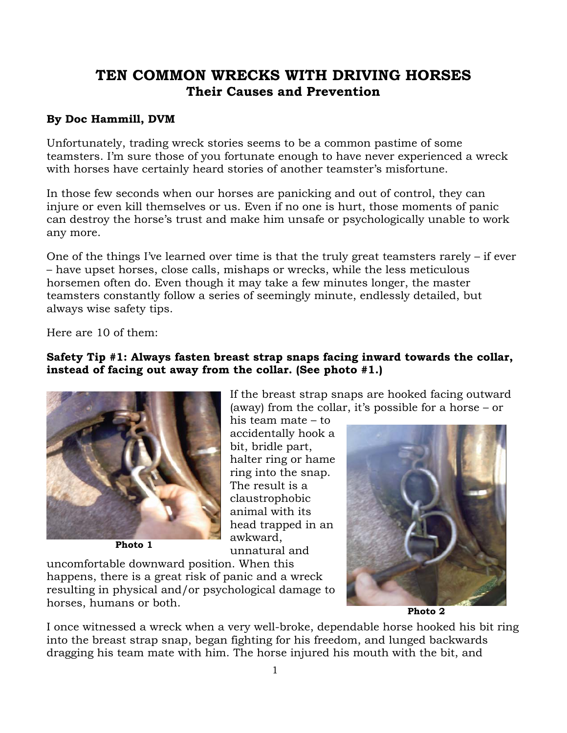# **TEN COMMON WRECKS WITH DRIVING HORSES Their Causes and Prevention**

#### **By Doc Hammill, DVM**

Unfortunately, trading wreck stories seems to be a common pastime of some teamsters. I'm sure those of you fortunate enough to have never experienced a wreck with horses have certainly heard stories of another teamster's misfortune.

In those few seconds when our horses are panicking and out of control, they can injure or even kill themselves or us. Even if no one is hurt, those moments of panic can destroy the horse's trust and make him unsafe or psychologically unable to work any more.

One of the things I've learned over time is that the truly great teamsters rarely – if ever – have upset horses, close calls, mishaps or wrecks, while the less meticulous horsemen often do. Even though it may take a few minutes longer, the master teamsters constantly follow a series of seemingly minute, endlessly detailed, but always wise safety tips.

Here are 10 of them:

#### **Safety Tip #1: Always fasten breast strap snaps facing inward towards the collar, instead of facing out away from the collar. (See photo #1.)**



**Photo 1** 

If the breast strap snaps are hooked facing outward (away) from the collar, it's possible for a horse – or his team mate – to accidentally hook a

bit, bridle part, halter ring or hame ring into the snap. The result is a claustrophobic animal with its head trapped in an awkward, unnatural and

uncomfortable downward position. When this happens, there is a great risk of panic and a wreck resulting in physical and/or psychological damage to horses, humans or both.



**Photo 2** 

I once witnessed a wreck when a very well-broke, dependable horse hooked his bit ring into the breast strap snap, began fighting for his freedom, and lunged backwards dragging his team mate with him. The horse injured his mouth with the bit, and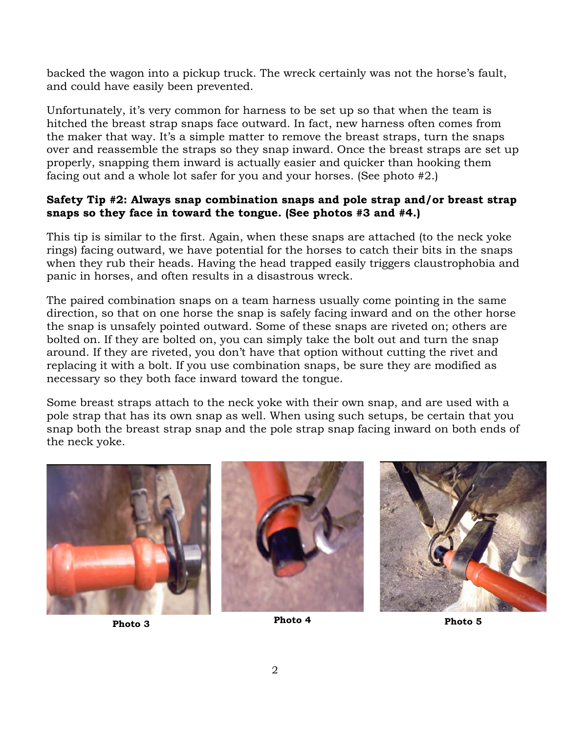backed the wagon into a pickup truck. The wreck certainly was not the horse's fault, and could have easily been prevented.

Unfortunately, it's very common for harness to be set up so that when the team is hitched the breast strap snaps face outward. In fact, new harness often comes from the maker that way. It's a simple matter to remove the breast straps, turn the snaps over and reassemble the straps so they snap inward. Once the breast straps are set up properly, snapping them inward is actually easier and quicker than hooking them facing out and a whole lot safer for you and your horses. (See photo #2.)

#### **Safety Tip #2: Always snap combination snaps and pole strap and/or breast strap snaps so they face in toward the tongue. (See photos #3 and #4.)**

This tip is similar to the first. Again, when these snaps are attached (to the neck yoke rings) facing outward, we have potential for the horses to catch their bits in the snaps when they rub their heads. Having the head trapped easily triggers claustrophobia and panic in horses, and often results in a disastrous wreck.

The paired combination snaps on a team harness usually come pointing in the same direction, so that on one horse the snap is safely facing inward and on the other horse the snap is unsafely pointed outward. Some of these snaps are riveted on; others are bolted on. If they are bolted on, you can simply take the bolt out and turn the snap around. If they are riveted, you don't have that option without cutting the rivet and replacing it with a bolt. If you use combination snaps, be sure they are modified as necessary so they both face inward toward the tongue.

Some breast straps attach to the neck yoke with their own snap, and are used with a pole strap that has its own snap as well. When using such setups, be certain that you snap both the breast strap snap and the pole strap snap facing inward on both ends of the neck yoke.







**Photo 3 Photo 4 Photo 5**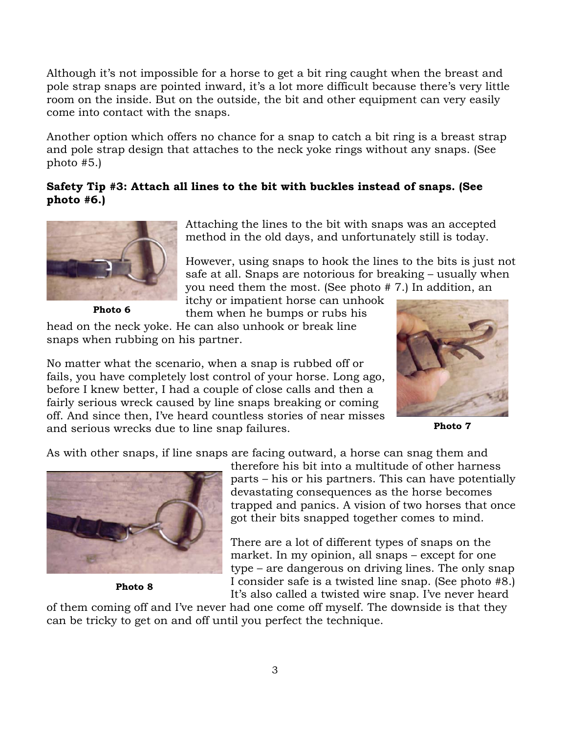Although it's not impossible for a horse to get a bit ring caught when the breast and pole strap snaps are pointed inward, it's a lot more difficult because there's very little room on the inside. But on the outside, the bit and other equipment can very easily come into contact with the snaps.

Another option which offers no chance for a snap to catch a bit ring is a breast strap and pole strap design that attaches to the neck yoke rings without any snaps. (See photo #5.)

# **Safety Tip #3: Attach all lines to the bit with buckles instead of snaps. (See photo #6.)**



**Photo 6** 

Attaching the lines to the bit with snaps was an accepted method in the old days, and unfortunately still is today.

However, using snaps to hook the lines to the bits is just not safe at all. Snaps are notorious for breaking – usually when you need them the most. (See photo # 7.) In addition, an

itchy or impatient horse can unhook them when he bumps or rubs his

head on the neck yoke. He can also unhook or break line snaps when rubbing on his partner.

No matter what the scenario, when a snap is rubbed off or fails, you have completely lost control of your horse. Long ago, before I knew better, I had a couple of close calls and then a fairly serious wreck caused by line snaps breaking or coming off. And since then, I've heard countless stories of near misses and serious wrecks due to line snap failures. **Photo 7**



As with other snaps, if line snaps are facing outward, a horse can snag them and



**Photo 8** 

therefore his bit into a multitude of other harness parts – his or his partners. This can have potentially devastating consequences as the horse becomes trapped and panics. A vision of two horses that once got their bits snapped together comes to mind.

There are a lot of different types of snaps on the market. In my opinion, all snaps – except for one type – are dangerous on driving lines. The only snap I consider safe is a twisted line snap. (See photo #8.) It's also called a twisted wire snap. I've never heard

of them coming off and I've never had one come off myself. The downside is that they can be tricky to get on and off until you perfect the technique.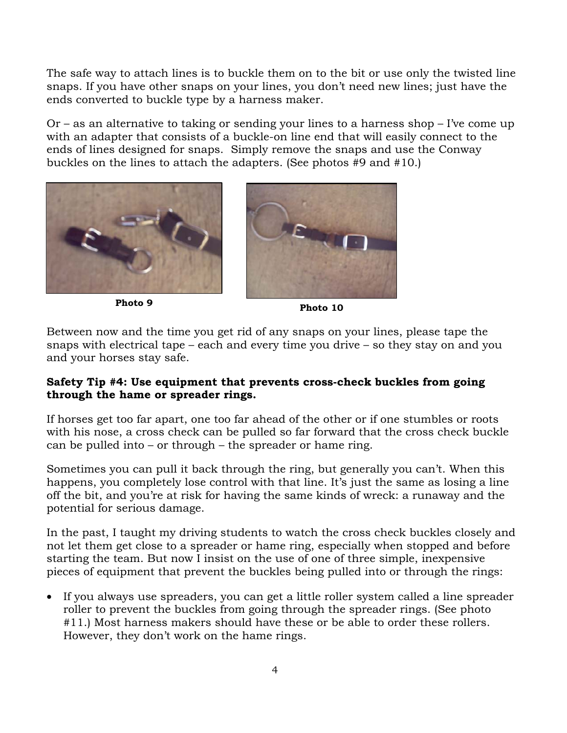The safe way to attach lines is to buckle them on to the bit or use only the twisted line snaps. If you have other snaps on your lines, you don't need new lines; just have the ends converted to buckle type by a harness maker.

Or – as an alternative to taking or sending your lines to a harness shop – I've come up with an adapter that consists of a buckle-on line end that will easily connect to the ends of lines designed for snaps. Simply remove the snaps and use the Conway buckles on the lines to attach the adapters. (See photos #9 and #10.)





Between now and the time you get rid of any snaps on your lines, please tape the snaps with electrical tape – each and every time you drive – so they stay on and you and your horses stay safe.

# **Safety Tip #4: Use equipment that prevents cross-check buckles from going through the hame or spreader rings.**

If horses get too far apart, one too far ahead of the other or if one stumbles or roots with his nose, a cross check can be pulled so far forward that the cross check buckle can be pulled into – or through – the spreader or hame ring.

Sometimes you can pull it back through the ring, but generally you can't. When this happens, you completely lose control with that line. It's just the same as losing a line off the bit, and you're at risk for having the same kinds of wreck: a runaway and the potential for serious damage.

In the past, I taught my driving students to watch the cross check buckles closely and not let them get close to a spreader or hame ring, especially when stopped and before starting the team. But now I insist on the use of one of three simple, inexpensive pieces of equipment that prevent the buckles being pulled into or through the rings:

• If you always use spreaders, you can get a little roller system called a line spreader roller to prevent the buckles from going through the spreader rings. (See photo #11.) Most harness makers should have these or be able to order these rollers. However, they don't work on the hame rings.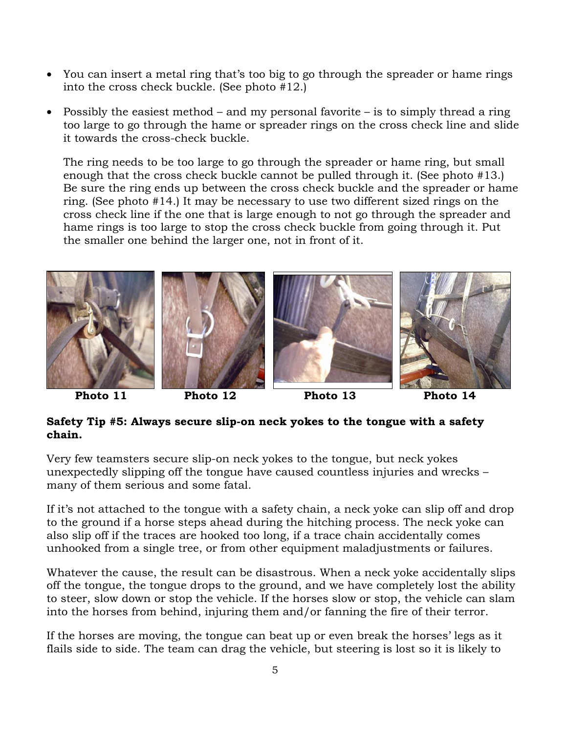- You can insert a metal ring that's too big to go through the spreader or hame rings into the cross check buckle. (See photo #12.)
- Possibly the easiest method and my personal favorite is to simply thread a ring too large to go through the hame or spreader rings on the cross check line and slide it towards the cross-check buckle.

The ring needs to be too large to go through the spreader or hame ring, but small enough that the cross check buckle cannot be pulled through it. (See photo #13.) Be sure the ring ends up between the cross check buckle and the spreader or hame ring. (See photo #14.) It may be necessary to use two different sized rings on the cross check line if the one that is large enough to not go through the spreader and hame rings is too large to stop the cross check buckle from going through it. Put the smaller one behind the larger one, not in front of it.



# **Safety Tip #5: Always secure slip-on neck yokes to the tongue with a safety chain.**

Very few teamsters secure slip-on neck yokes to the tongue, but neck yokes unexpectedly slipping off the tongue have caused countless injuries and wrecks – many of them serious and some fatal.

If it's not attached to the tongue with a safety chain, a neck yoke can slip off and drop to the ground if a horse steps ahead during the hitching process. The neck yoke can also slip off if the traces are hooked too long, if a trace chain accidentally comes unhooked from a single tree, or from other equipment maladjustments or failures.

Whatever the cause, the result can be disastrous. When a neck yoke accidentally slips off the tongue, the tongue drops to the ground, and we have completely lost the ability to steer, slow down or stop the vehicle. If the horses slow or stop, the vehicle can slam into the horses from behind, injuring them and/or fanning the fire of their terror.

If the horses are moving, the tongue can beat up or even break the horses' legs as it flails side to side. The team can drag the vehicle, but steering is lost so it is likely to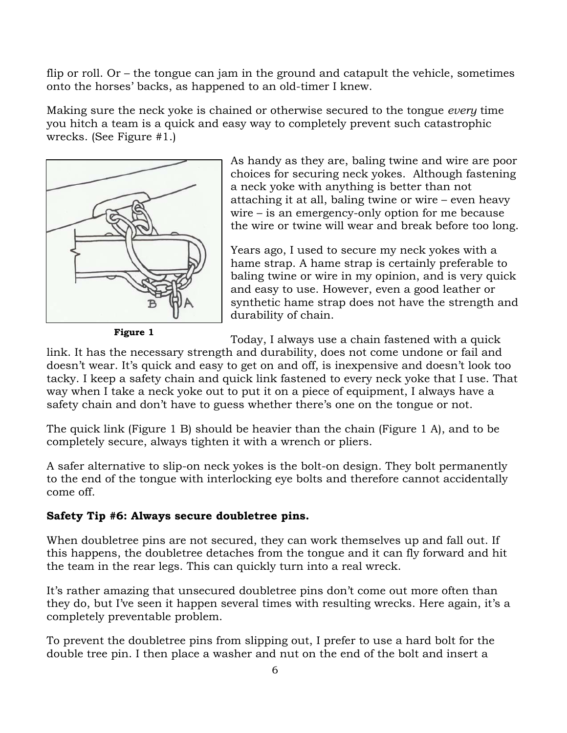flip or roll. Or – the tongue can jam in the ground and catapult the vehicle, sometimes onto the horses' backs, as happened to an old-timer I knew.

Making sure the neck yoke is chained or otherwise secured to the tongue *every* time you hitch a team is a quick and easy way to completely prevent such catastrophic wrecks. (See Figure #1.)



**Figure 1** 

As handy as they are, baling twine and wire are poor choices for securing neck yokes. Although fastening a neck yoke with anything is better than not attaching it at all, baling twine or wire – even heavy wire – is an emergency-only option for me because the wire or twine will wear and break before too long.

Years ago, I used to secure my neck yokes with a hame strap. A hame strap is certainly preferable to baling twine or wire in my opinion, and is very quick and easy to use. However, even a good leather or synthetic hame strap does not have the strength and durability of chain.

Today, I always use a chain fastened with a quick

link. It has the necessary strength and durability, does not come undone or fail and doesn't wear. It's quick and easy to get on and off, is inexpensive and doesn't look too tacky. I keep a safety chain and quick link fastened to every neck yoke that I use. That way when I take a neck yoke out to put it on a piece of equipment, I always have a safety chain and don't have to guess whether there's one on the tongue or not.

The quick link (Figure 1 B) should be heavier than the chain (Figure 1 A), and to be completely secure, always tighten it with a wrench or pliers.

A safer alternative to slip-on neck yokes is the bolt-on design. They bolt permanently to the end of the tongue with interlocking eye bolts and therefore cannot accidentally come off.

#### **Safety Tip #6: Always secure doubletree pins.**

When doubletree pins are not secured, they can work themselves up and fall out. If this happens, the doubletree detaches from the tongue and it can fly forward and hit the team in the rear legs. This can quickly turn into a real wreck.

It's rather amazing that unsecured doubletree pins don't come out more often than they do, but I've seen it happen several times with resulting wrecks. Here again, it's a completely preventable problem.

To prevent the doubletree pins from slipping out, I prefer to use a hard bolt for the double tree pin. I then place a washer and nut on the end of the bolt and insert a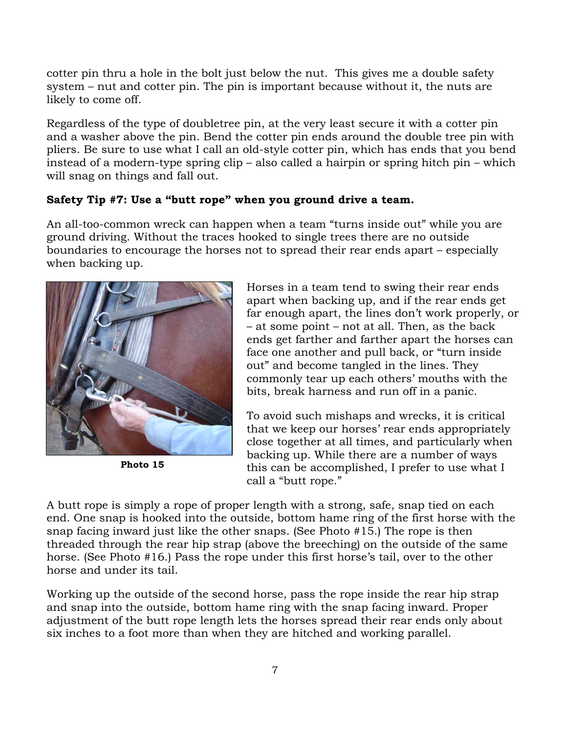cotter pin thru a hole in the bolt just below the nut. This gives me a double safety system – nut and cotter pin. The pin is important because without it, the nuts are likely to come off.

Regardless of the type of doubletree pin, at the very least secure it with a cotter pin and a washer above the pin. Bend the cotter pin ends around the double tree pin with pliers. Be sure to use what I call an old-style cotter pin, which has ends that you bend instead of a modern-type spring clip – also called a hairpin or spring hitch pin – which will snag on things and fall out.

# **Safety Tip #7: Use a "butt rope" when you ground drive a team.**

An all-too-common wreck can happen when a team "turns inside out" while you are ground driving. Without the traces hooked to single trees there are no outside boundaries to encourage the horses not to spread their rear ends apart – especially when backing up.



**Photo 15** 

Horses in a team tend to swing their rear ends apart when backing up, and if the rear ends get far enough apart, the lines don't work properly, or – at some point – not at all. Then, as the back ends get farther and farther apart the horses can face one another and pull back, or "turn inside out" and become tangled in the lines. They commonly tear up each others' mouths with the bits, break harness and run off in a panic.

To avoid such mishaps and wrecks, it is critical that we keep our horses' rear ends appropriately close together at all times, and particularly when backing up. While there are a number of ways this can be accomplished, I prefer to use what I call a "butt rope."

A butt rope is simply a rope of proper length with a strong, safe, snap tied on each end. One snap is hooked into the outside, bottom hame ring of the first horse with the snap facing inward just like the other snaps. (See Photo #15.) The rope is then threaded through the rear hip strap (above the breeching) on the outside of the same horse. (See Photo #16.) Pass the rope under this first horse's tail, over to the other horse and under its tail.

Working up the outside of the second horse, pass the rope inside the rear hip strap and snap into the outside, bottom hame ring with the snap facing inward. Proper adjustment of the butt rope length lets the horses spread their rear ends only about six inches to a foot more than when they are hitched and working parallel.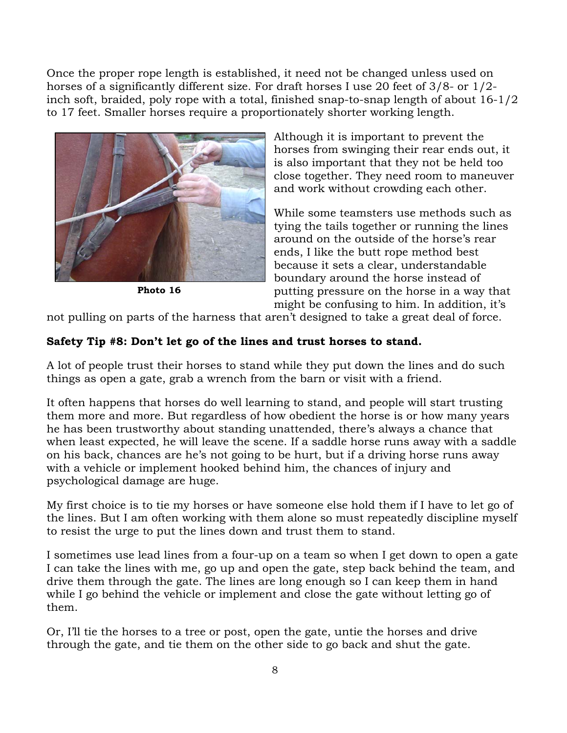Once the proper rope length is established, it need not be changed unless used on horses of a significantly different size. For draft horses I use 20 feet of 3/8- or 1/2 inch soft, braided, poly rope with a total, finished snap-to-snap length of about 16-1/2 to 17 feet. Smaller horses require a proportionately shorter working length.



**Photo 16** 

Although it is important to prevent the horses from swinging their rear ends out, it is also important that they not be held too close together. They need room to maneuver and work without crowding each other.

While some teamsters use methods such as tying the tails together or running the lines around on the outside of the horse's rear ends, I like the butt rope method best because it sets a clear, understandable boundary around the horse instead of putting pressure on the horse in a way that might be confusing to him. In addition, it's

not pulling on parts of the harness that aren't designed to take a great deal of force.

# **Safety Tip #8: Don't let go of the lines and trust horses to stand.**

A lot of people trust their horses to stand while they put down the lines and do such things as open a gate, grab a wrench from the barn or visit with a friend.

It often happens that horses do well learning to stand, and people will start trusting them more and more. But regardless of how obedient the horse is or how many years he has been trustworthy about standing unattended, there's always a chance that when least expected, he will leave the scene. If a saddle horse runs away with a saddle on his back, chances are he's not going to be hurt, but if a driving horse runs away with a vehicle or implement hooked behind him, the chances of injury and psychological damage are huge.

My first choice is to tie my horses or have someone else hold them if I have to let go of the lines. But I am often working with them alone so must repeatedly discipline myself to resist the urge to put the lines down and trust them to stand.

I sometimes use lead lines from a four-up on a team so when I get down to open a gate I can take the lines with me, go up and open the gate, step back behind the team, and drive them through the gate. The lines are long enough so I can keep them in hand while I go behind the vehicle or implement and close the gate without letting go of them.

Or, I'll tie the horses to a tree or post, open the gate, untie the horses and drive through the gate, and tie them on the other side to go back and shut the gate.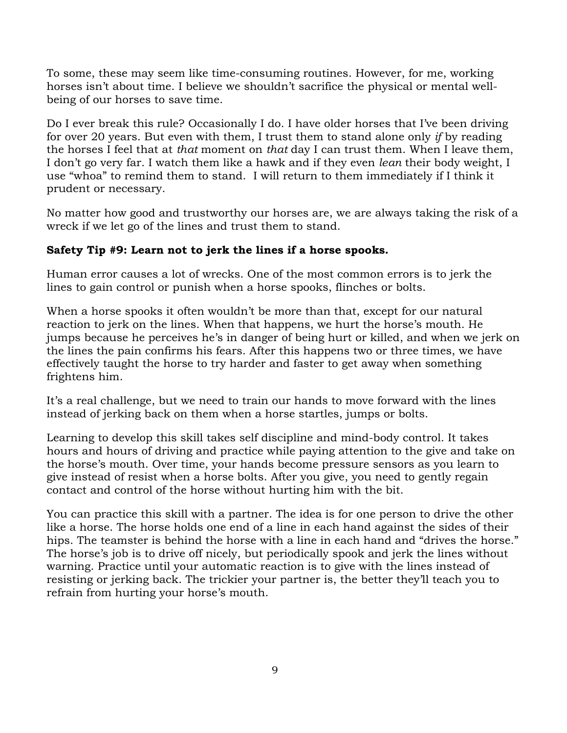To some, these may seem like time-consuming routines. However, for me, working horses isn't about time. I believe we shouldn't sacrifice the physical or mental wellbeing of our horses to save time.

Do I ever break this rule? Occasionally I do. I have older horses that I've been driving for over 20 years. But even with them, I trust them to stand alone only *if* by reading the horses I feel that at *that* moment on *that* day I can trust them. When I leave them, I don't go very far. I watch them like a hawk and if they even *lean* their body weight, I use "whoa" to remind them to stand. I will return to them immediately if I think it prudent or necessary.

No matter how good and trustworthy our horses are, we are always taking the risk of a wreck if we let go of the lines and trust them to stand.

# **Safety Tip #9: Learn not to jerk the lines if a horse spooks.**

Human error causes a lot of wrecks. One of the most common errors is to jerk the lines to gain control or punish when a horse spooks, flinches or bolts.

When a horse spooks it often wouldn't be more than that, except for our natural reaction to jerk on the lines. When that happens, we hurt the horse's mouth. He jumps because he perceives he's in danger of being hurt or killed, and when we jerk on the lines the pain confirms his fears. After this happens two or three times, we have effectively taught the horse to try harder and faster to get away when something frightens him.

It's a real challenge, but we need to train our hands to move forward with the lines instead of jerking back on them when a horse startles, jumps or bolts.

Learning to develop this skill takes self discipline and mind-body control. It takes hours and hours of driving and practice while paying attention to the give and take on the horse's mouth. Over time, your hands become pressure sensors as you learn to give instead of resist when a horse bolts. After you give, you need to gently regain contact and control of the horse without hurting him with the bit.

You can practice this skill with a partner. The idea is for one person to drive the other like a horse. The horse holds one end of a line in each hand against the sides of their hips. The teamster is behind the horse with a line in each hand and "drives the horse." The horse's job is to drive off nicely, but periodically spook and jerk the lines without warning. Practice until your automatic reaction is to give with the lines instead of resisting or jerking back. The trickier your partner is, the better they'll teach you to refrain from hurting your horse's mouth.